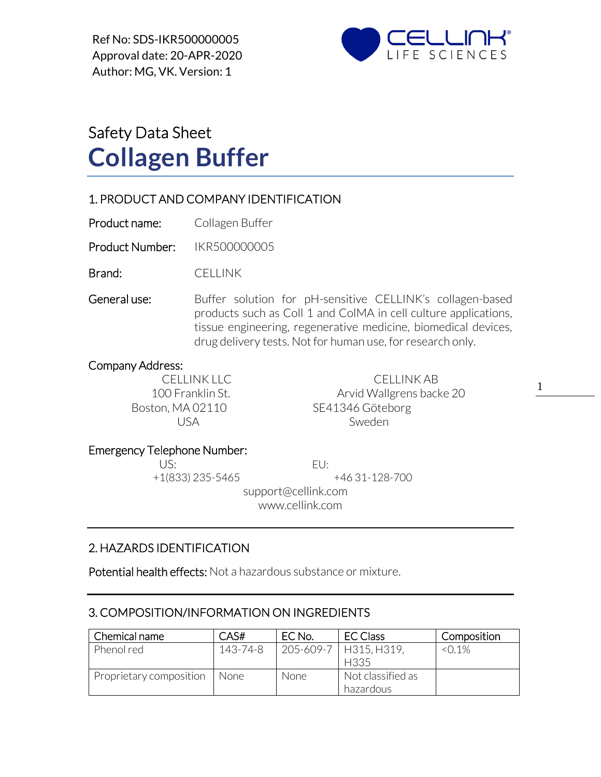Ref No: SDS-IKR500000005 Approval date: 20-APR-2020 Author: MG, VK. Version: 1



# Safety Data Sheet **Collagen Buffer**

## 1. PRODUCT AND COMPANY IDENTIFICATION

Product name: Collagen Buffer

Product Number: IKR500000005

Brand: CELLINK

General use: Buffer solution for pH-sensitive CELLINK's collagen-based products such as Coll 1 and ColMA in cell culture applications, tissue engineering, regenerative medicine, biomedical devices, drug delivery tests. Not for human use, for research only.

#### Company Address:

CELLINK LLC CELLINK AB 100 Franklin St. **Arvid Wallgrens backe 20** Boston, MA 02110 SE41346 Göteborg USA Sweden

1

#### Emergency Telephone Number:

US: EU:

+1(833) 235-5465 +46 31-128-700

 support@cellink.com www.cellink.com

## 2. HAZARDS IDENTIFICATION

Potential health effects: Not a hazardous substance or mixture.

## 3. COMPOSITION/INFORMATION ON INGREDIENTS

| Chemical name           | CAS#     | EC No. | EC Class                        | Composition |
|-------------------------|----------|--------|---------------------------------|-------------|
| Phenol red              | 143-74-8 |        | 205-609-7   H315, H319.<br>H335 | $< 0.1\%$   |
| Proprietary composition | None.    | None   | Not classified as<br>hazardous  |             |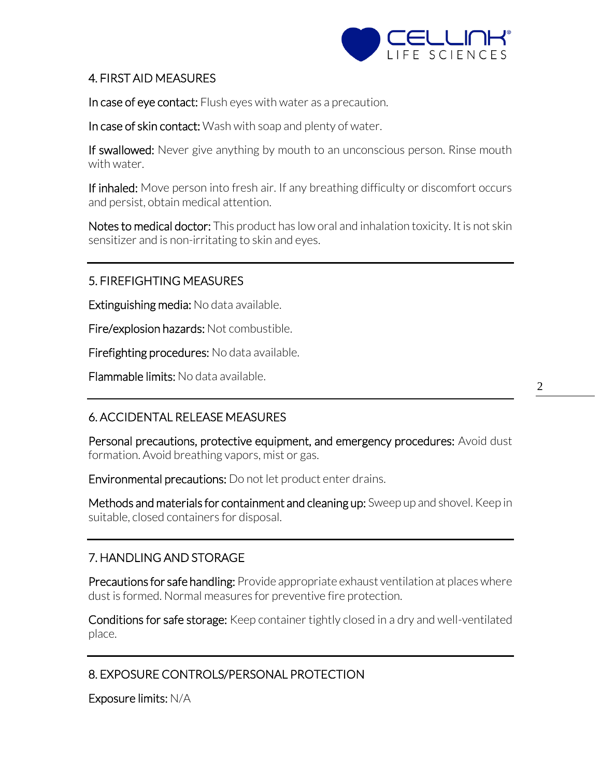

## 4. FIRST AID MEASURES

In case of eye contact: Flush eyes with water as a precaution.

In case of skin contact: Wash with soap and plenty of water.

If swallowed: Never give anything by mouth to an unconscious person. Rinse mouth with water.

If inhaled: Move person into fresh air. If any breathing difficulty or discomfort occurs and persist, obtain medical attention.

Notes to medical doctor: This product has low oral and inhalation toxicity. It is not skin sensitizer and is non-irritating to skin and eyes.

## 5. FIREFIGHTING MEASURES

Extinguishing media: No data available.

Fire/explosion hazards: Not combustible.

Firefighting procedures: No data available.

Flammable limits: No data available.

# 6. ACCIDENTAL RELEASE MEASURES

Personal precautions, protective equipment, and emergency procedures: Avoid dust formation. Avoid breathing vapors, mist or gas.

Environmental precautions: Do not let product enter drains.

Methods and materials for containment and cleaning up: Sweep up and shovel. Keep in suitable, closed containers for disposal.

## 7. HANDLING AND STORAGE

Precautions for safe handling: Provide appropriate exhaust ventilation at places where dust is formed. Normal measures for preventive fire protection.

Conditions for safe storage: Keep container tightly closed in a dry and well-ventilated place.

# 8. EXPOSURE CONTROLS/PERSONAL PROTECTION

Exposure limits: N/A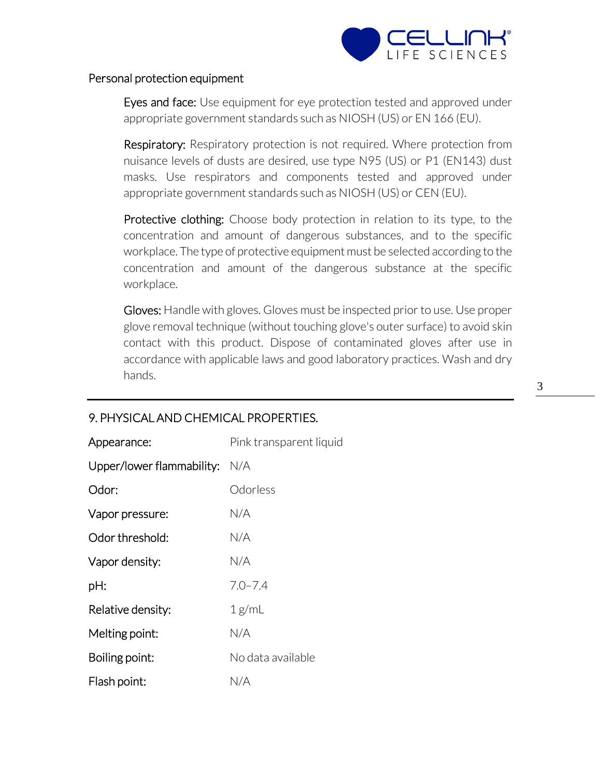

#### Personal protection equipment

Eyes and face: Use equipment for eye protection tested and approved under appropriate government standards such as NIOSH (US) or EN 166 (EU).

**Respiratory:** Respiratory protection is not required. Where protection from nuisance levels of dusts are desired, use type N95 (US) or P1 (EN143) dust masks. Use respirators and components tested and approved under appropriate government standards such as NIOSH (US) or CEN (EU).

Protective clothing: Choose body protection in relation to its type, to the concentration and amount of dangerous substances, and to the specific workplace. The type of protective equipment must be selected according to the concentration and amount of the dangerous substance at the specific workplace.

Gloves: Handle with gloves. Gloves must be inspected prior to use. Use proper glove removal technique (without touching glove's outer surface) to avoid skin contact with this product. Dispose of contaminated gloves after use in accordance with applicable laws and good laboratory practices. Wash and dry hands.

| Appearance:               | Pink transparent liquid |
|---------------------------|-------------------------|
| Upper/lower flammability: | N/A                     |
| Odor:                     | Odorless                |
| Vapor pressure:           | N/A                     |
| Odor threshold:           | N/A                     |
| Vapor density:            | N/A                     |
| pH:                       | $7.0 - 7.4$             |
| Relative density:         | 1 g/mL                  |
| Melting point:            | N/A                     |
| Boiling point:            | No data available       |
| Flash point:              | N/A                     |

## 9. PHYSICAL AND CHEMICAL PROPERTIES.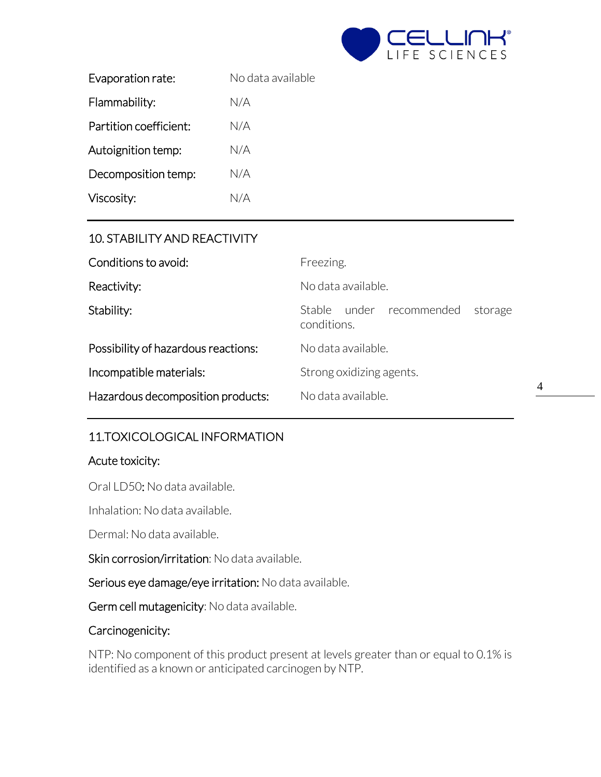

| Evaporation rate:      | No data available |
|------------------------|-------------------|
| Flammability:          | N/A               |
| Partition coefficient: | N/A               |
| Autoignition temp:     | N/A               |
| Decomposition temp:    | N/A               |
| Viscosity:             | N/A               |

## 10. STABILITY AND REACTIVITY

| Conditions to avoid:                | Freezing.                                             |  |
|-------------------------------------|-------------------------------------------------------|--|
| Reactivity:                         | No data available.                                    |  |
| Stability:                          | under recommended<br>Stable<br>storage<br>conditions. |  |
| Possibility of hazardous reactions: | No data available.                                    |  |
| Incompatible materials:             | Strong oxidizing agents.                              |  |
| Hazardous decomposition products:   | No data available.                                    |  |

## 11.TOXICOLOGICAL INFORMATION

#### Acute toxicity:

Oral LD50: No data available.

Inhalation: No data available.

Dermal: No data available.

Skin corrosion/irritation: No data available.

Serious eye damage/eye irritation: No data available.

Germ cell mutagenicity: No data available.

#### Carcinogenicity:

NTP: No component of this product present at levels greater than or equal to 0.1% is identified as a known or anticipated carcinogen by NTP.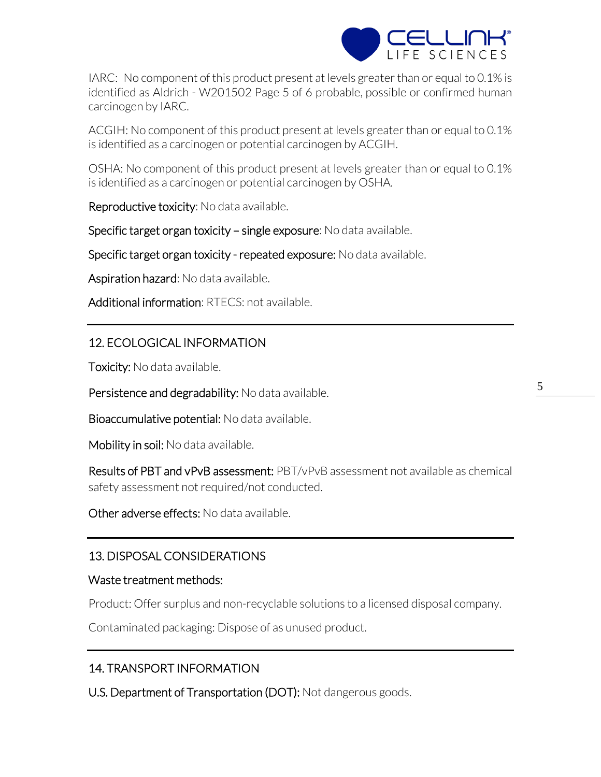

IARC: No component of this product present at levels greater than or equal to 0.1% is identified as Aldrich - W201502 Page 5 of 6 probable, possible or confirmed human carcinogen by IARC.

ACGIH: No component of this product present at levels greater than or equal to 0.1% is identified as a carcinogen or potential carcinogen by ACGIH.

OSHA: No component of this product present at levels greater than or equal to 0.1% is identified as a carcinogen or potential carcinogen by OSHA.

Reproductive toxicity: No data available.

Specific target organ toxicity – single exposure: No data available.

Specific target organ toxicity - repeated exposure: No data available.

Aspiration hazard: No data available.

Additional information: RTECS: not available.

# 12. ECOLOGICAL INFORMATION

**Toxicity:** No data available.

Persistence and degradability: No data available.

Bioaccumulative potential: No data available.

Mobility in soil: No data available.

Results of PBT and vPvB assessment: PBT/vPvB assessment not available as chemical safety assessment not required/not conducted.

Other adverse effects: No data available.

# 13. DISPOSAL CONSIDERATIONS

#### Waste treatment methods:

Product: Offer surplus and non-recyclable solutions to a licensed disposal company.

Contaminated packaging: Dispose of as unused product.

# 14. TRANSPORT INFORMATION

U.S. Department of Transportation (DOT): Not dangerous goods.